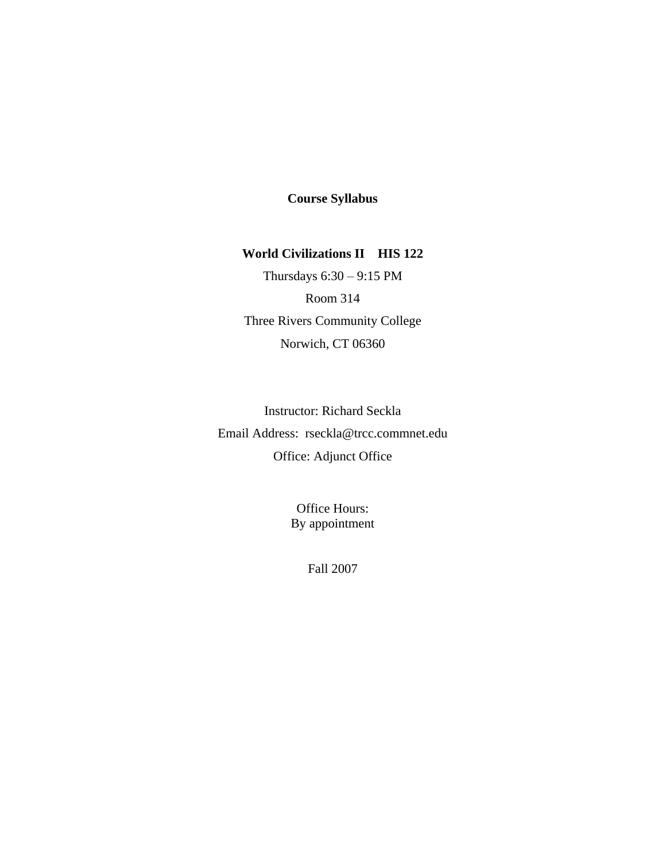# **Course Syllabus**

# **World Civilizations II HIS 122**

Thursdays 6:30 – 9:15 PM Room 314 Three Rivers Community College Norwich, CT 06360

Instructor: Richard Seckla Email Address: rseckla@trcc.commnet.edu Office: Adjunct Office

> Office Hours: By appointment

> > Fall 2007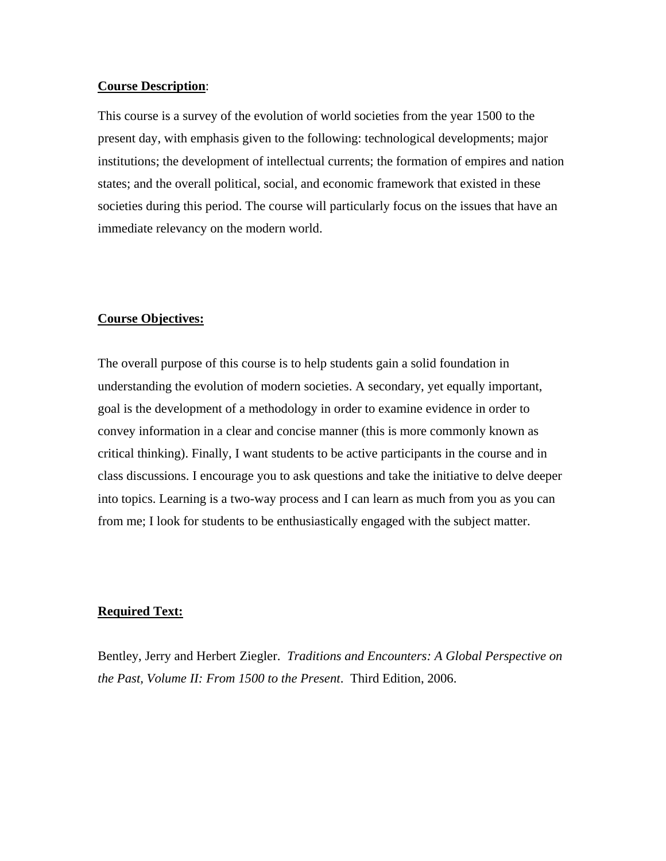#### **Course Description**:

This course is a survey of the evolution of world societies from the year 1500 to the present day, with emphasis given to the following: technological developments; major institutions; the development of intellectual currents; the formation of empires and nation states; and the overall political, social, and economic framework that existed in these societies during this period. The course will particularly focus on the issues that have an immediate relevancy on the modern world.

#### **Course Objectives:**

The overall purpose of this course is to help students gain a solid foundation in understanding the evolution of modern societies. A secondary, yet equally important, goal is the development of a methodology in order to examine evidence in order to convey information in a clear and concise manner (this is more commonly known as critical thinking). Finally, I want students to be active participants in the course and in class discussions. I encourage you to ask questions and take the initiative to delve deeper into topics. Learning is a two-way process and I can learn as much from you as you can from me; I look for students to be enthusiastically engaged with the subject matter.

#### **Required Text:**

Bentley, Jerry and Herbert Ziegler. *Traditions and Encounters: A Global Perspective on the Past, Volume II: From 1500 to the Present*. Third Edition, 2006.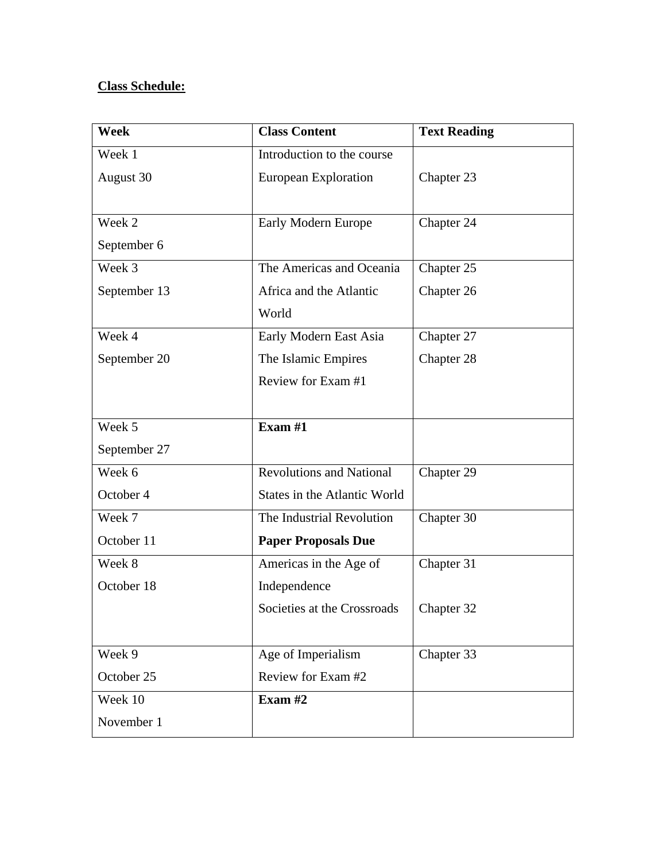# **Class Schedule:**

| <b>Week</b>  | <b>Class Content</b>                | <b>Text Reading</b> |
|--------------|-------------------------------------|---------------------|
| Week 1       | Introduction to the course          |                     |
| August 30    | European Exploration                | Chapter 23          |
|              |                                     |                     |
| Week 2       | Early Modern Europe                 | Chapter 24          |
| September 6  |                                     |                     |
| Week 3       | The Americas and Oceania            | Chapter 25          |
| September 13 | Africa and the Atlantic             | Chapter 26          |
|              | World                               |                     |
| Week 4       | Early Modern East Asia              | Chapter 27          |
| September 20 | The Islamic Empires                 | Chapter 28          |
|              | Review for Exam #1                  |                     |
|              |                                     |                     |
| Week 5       | Exam $#1$                           |                     |
| September 27 |                                     |                     |
| Week 6       | <b>Revolutions and National</b>     | Chapter 29          |
| October 4    | <b>States in the Atlantic World</b> |                     |
| Week 7       | The Industrial Revolution           | Chapter 30          |
| October 11   | <b>Paper Proposals Due</b>          |                     |
| Week 8       | Americas in the Age of              | Chapter 31          |
| October 18   | Independence                        |                     |
|              | Societies at the Crossroads         | Chapter 32          |
|              |                                     |                     |
| Week 9       | Age of Imperialism                  | Chapter 33          |
| October 25   | Review for Exam #2                  |                     |
| Week 10      | Exam $#2$                           |                     |
| November 1   |                                     |                     |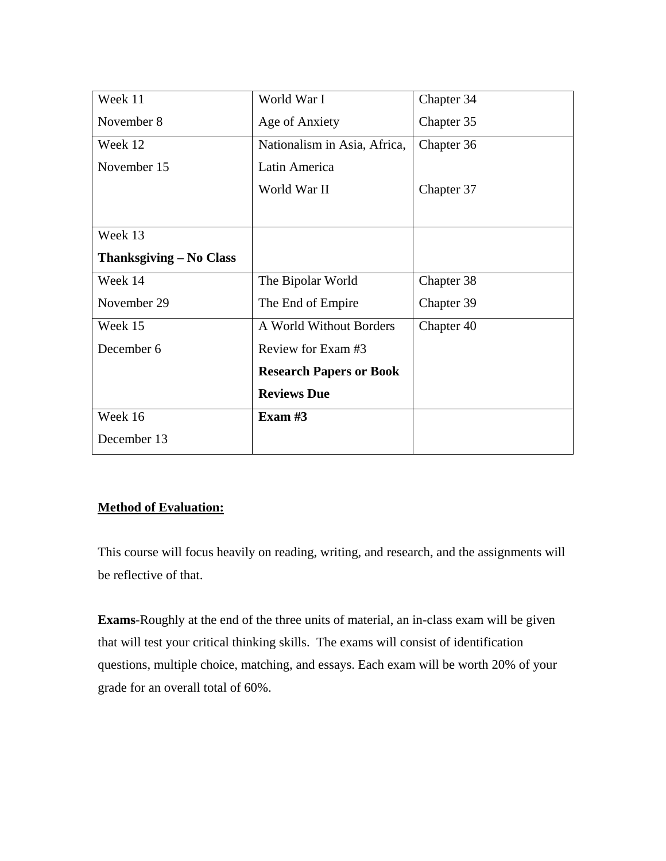| Week 11                 | World War I                    | Chapter 34 |
|-------------------------|--------------------------------|------------|
| November 8              | Age of Anxiety                 | Chapter 35 |
| Week 12                 | Nationalism in Asia, Africa,   | Chapter 36 |
| November 15             | Latin America                  |            |
|                         | World War II                   | Chapter 37 |
|                         |                                |            |
| Week 13                 |                                |            |
| Thanksgiving – No Class |                                |            |
| Week 14                 | The Bipolar World              | Chapter 38 |
| November 29             | The End of Empire              | Chapter 39 |
| Week 15                 | A World Without Borders        | Chapter 40 |
| December 6              | Review for Exam #3             |            |
|                         | <b>Research Papers or Book</b> |            |
|                         | <b>Reviews Due</b>             |            |
| Week 16                 | Exam $#3$                      |            |
| December 13             |                                |            |

# **Method of Evaluation:**

This course will focus heavily on reading, writing, and research, and the assignments will be reflective of that.

**Exams**-Roughly at the end of the three units of material, an in-class exam will be given that will test your critical thinking skills. The exams will consist of identification questions, multiple choice, matching, and essays. Each exam will be worth 20% of your grade for an overall total of 60%.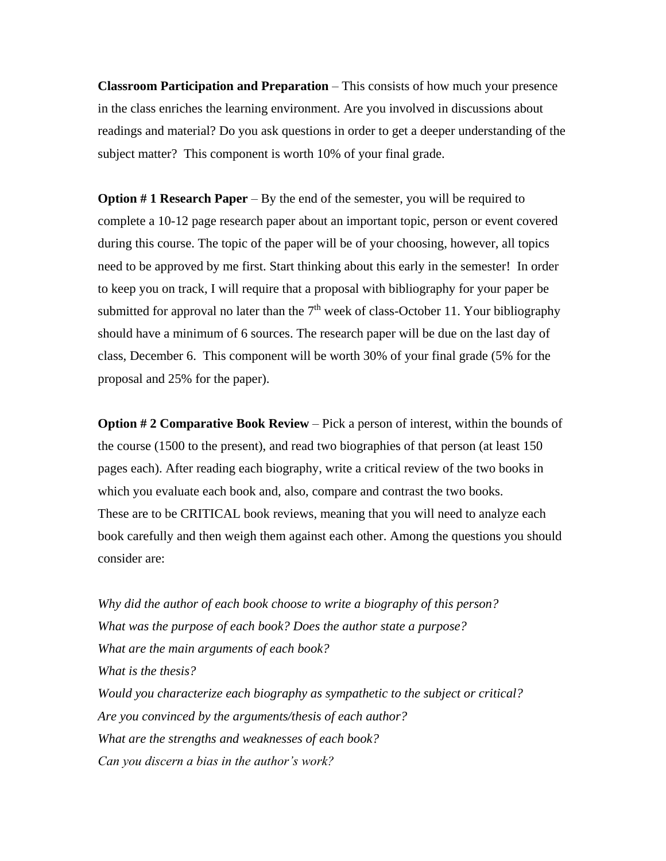**Classroom Participation and Preparation** – This consists of how much your presence in the class enriches the learning environment. Are you involved in discussions about readings and material? Do you ask questions in order to get a deeper understanding of the subject matter? This component is worth 10% of your final grade.

**Option # 1 Research Paper** – By the end of the semester, you will be required to complete a 10-12 page research paper about an important topic, person or event covered during this course. The topic of the paper will be of your choosing, however, all topics need to be approved by me first. Start thinking about this early in the semester! In order to keep you on track, I will require that a proposal with bibliography for your paper be submitted for approval no later than the  $7<sup>th</sup>$  week of class-October 11. Your bibliography should have a minimum of 6 sources. The research paper will be due on the last day of class, December 6. This component will be worth 30% of your final grade (5% for the proposal and 25% for the paper).

**Option #2 Comparative Book Review** – Pick a person of interest, within the bounds of the course (1500 to the present), and read two biographies of that person (at least 150 pages each). After reading each biography, write a critical review of the two books in which you evaluate each book and, also, compare and contrast the two books. These are to be CRITICAL book reviews, meaning that you will need to analyze each book carefully and then weigh them against each other. Among the questions you should consider are:

*Why did the author of each book choose to write a biography of this person? What was the purpose of each book? Does the author state a purpose? What are the main arguments of each book? What is the thesis? Would you characterize each biography as sympathetic to the subject or critical? Are you convinced by the arguments/thesis of each author? What are the strengths and weaknesses of each book? Can you discern a bias in the author's work?*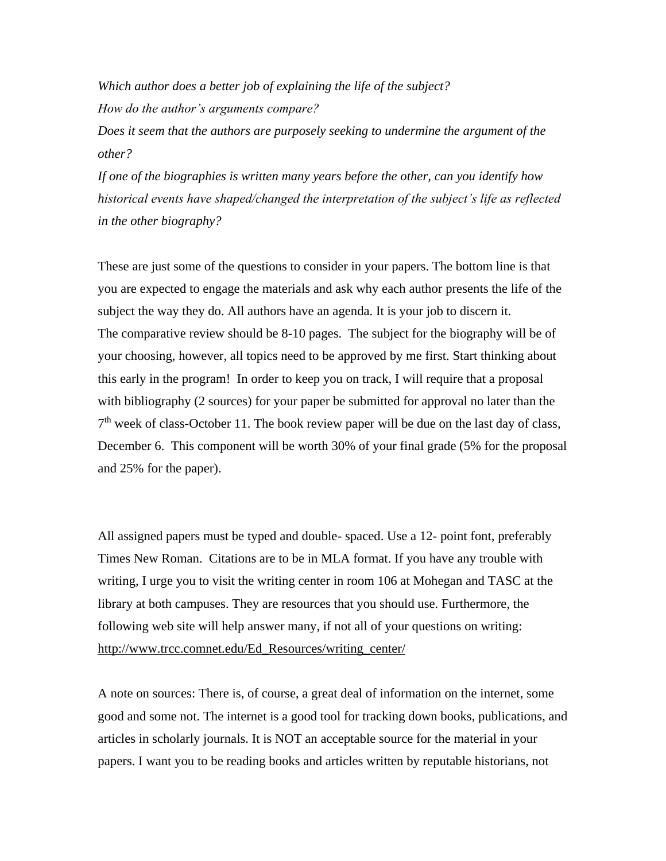*Which author does a better job of explaining the life of the subject? How do the author's arguments compare?*

*Does it seem that the authors are purposely seeking to undermine the argument of the other?*

*If one of the biographies is written many years before the other, can you identify how historical events have shaped/changed the interpretation of the subject's life as reflected in the other biography?*

These are just some of the questions to consider in your papers. The bottom line is that you are expected to engage the materials and ask why each author presents the life of the subject the way they do. All authors have an agenda. It is your job to discern it. The comparative review should be 8-10 pages. The subject for the biography will be of your choosing, however, all topics need to be approved by me first. Start thinking about this early in the program! In order to keep you on track, I will require that a proposal with bibliography (2 sources) for your paper be submitted for approval no later than the  $7<sup>th</sup>$  week of class-October 11. The book review paper will be due on the last day of class, December 6. This component will be worth 30% of your final grade (5% for the proposal and 25% for the paper).

All assigned papers must be typed and double- spaced. Use a 12- point font, preferably Times New Roman. Citations are to be in MLA format. If you have any trouble with writing, I urge you to visit the writing center in room 106 at Mohegan and TASC at the library at both campuses. They are resources that you should use. Furthermore, the following web site will help answer many, if not all of your questions on writing: [http://www.trcc.comnet.edu/Ed\\_Resources/writing\\_center/](http://www.trcc.comnet.edu/Ed_Resources/writing_center/)

A note on sources: There is, of course, a great deal of information on the internet, some good and some not. The internet is a good tool for tracking down books, publications, and articles in scholarly journals. It is NOT an acceptable source for the material in your papers. I want you to be reading books and articles written by reputable historians, not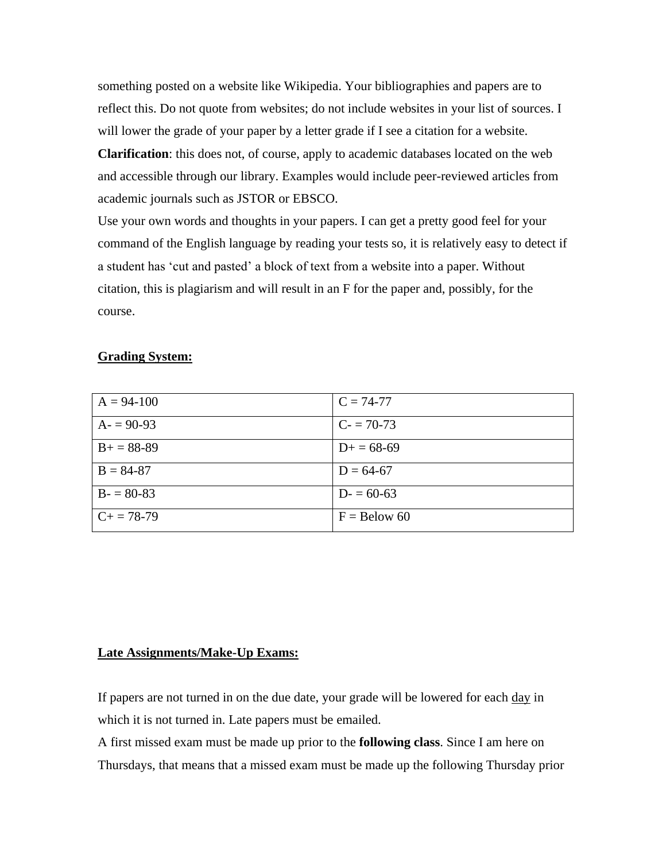something posted on a website like Wikipedia. Your bibliographies and papers are to reflect this. Do not quote from websites; do not include websites in your list of sources. I will lower the grade of your paper by a letter grade if I see a citation for a website. **Clarification**: this does not, of course, apply to academic databases located on the web

and accessible through our library. Examples would include peer-reviewed articles from academic journals such as JSTOR or EBSCO.

Use your own words and thoughts in your papers. I can get a pretty good feel for your command of the English language by reading your tests so, it is relatively easy to detect if a student has 'cut and pasted' a block of text from a website into a paper. Without citation, this is plagiarism and will result in an F for the paper and, possibly, for the course.

## **Grading System:**

| $A = 94-100$    | $C = 74-77$    |
|-----------------|----------------|
| $A = 90-93$     | $C = 70-73$    |
| $B+=88-89$      | $D+=68-69$     |
| $B = 84-87$     | $D = 64-67$    |
| $B = 80-83$     | $D = 60-63$    |
| $C_{+} = 78-79$ | $F =$ Below 60 |

## **Late Assignments/Make-Up Exams:**

If papers are not turned in on the due date, your grade will be lowered for each day in which it is not turned in. Late papers must be emailed.

A first missed exam must be made up prior to the **following class**. Since I am here on Thursdays, that means that a missed exam must be made up the following Thursday prior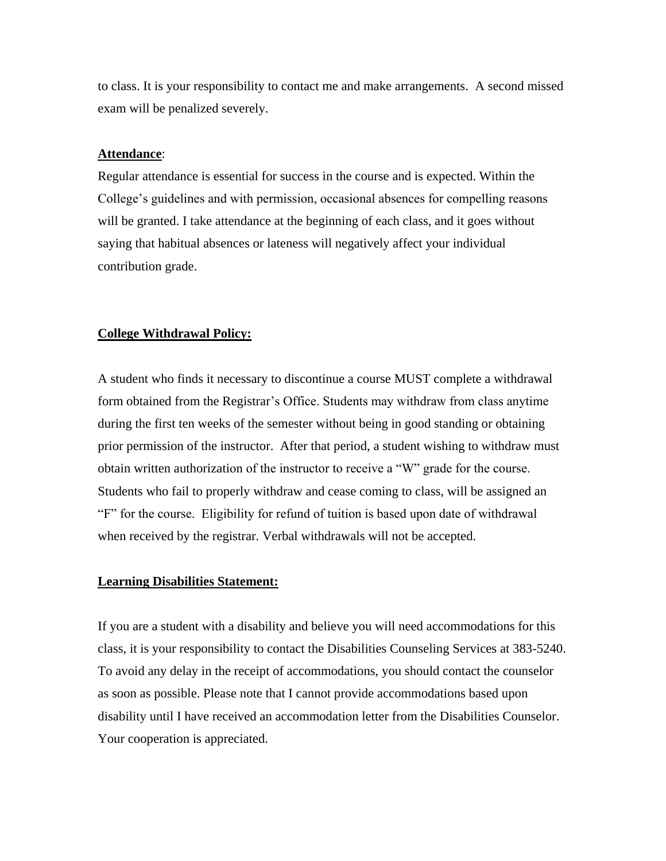to class. It is your responsibility to contact me and make arrangements. A second missed exam will be penalized severely.

#### **Attendance**:

Regular attendance is essential for success in the course and is expected. Within the College's guidelines and with permission, occasional absences for compelling reasons will be granted. I take attendance at the beginning of each class, and it goes without saying that habitual absences or lateness will negatively affect your individual contribution grade.

#### **College Withdrawal Policy:**

A student who finds it necessary to discontinue a course MUST complete a withdrawal form obtained from the Registrar's Office. Students may withdraw from class anytime during the first ten weeks of the semester without being in good standing or obtaining prior permission of the instructor. After that period, a student wishing to withdraw must obtain written authorization of the instructor to receive a "W" grade for the course. Students who fail to properly withdraw and cease coming to class, will be assigned an "F" for the course. Eligibility for refund of tuition is based upon date of withdrawal when received by the registrar. Verbal withdrawals will not be accepted.

#### **Learning Disabilities Statement:**

If you are a student with a disability and believe you will need accommodations for this class, it is your responsibility to contact the Disabilities Counseling Services at 383-5240. To avoid any delay in the receipt of accommodations, you should contact the counselor as soon as possible. Please note that I cannot provide accommodations based upon disability until I have received an accommodation letter from the Disabilities Counselor. Your cooperation is appreciated.